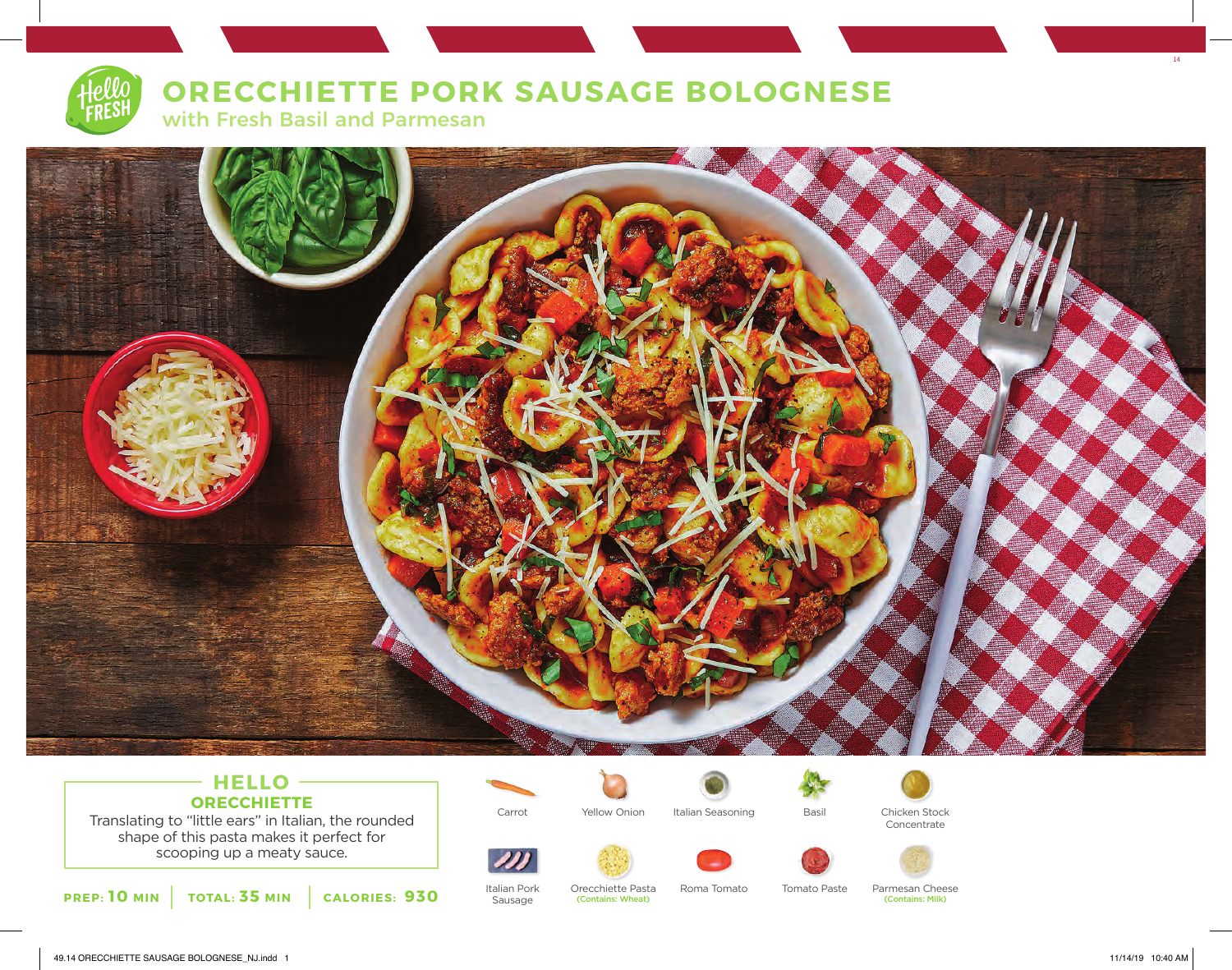## **ORECCHIETTE PORK SAUSAGE BOLOGNESE**



with Fresh Basil and Parmesan



### **HELLO ORECCHIETTE** Translating to "little ears" in Italian, the rounded

shape of this pasta makes it perfect for scooping up a meaty sauce.

**PREP: 10 MIN TOTAL: 35 MIN CALORIES: 930**



Italian Pork Sausage



Orecchiette Pasta (Contains: Wheat)







Concentrate





Roma Tomato Tomato Paste Parmesan Cheese (Contains: Milk)

14